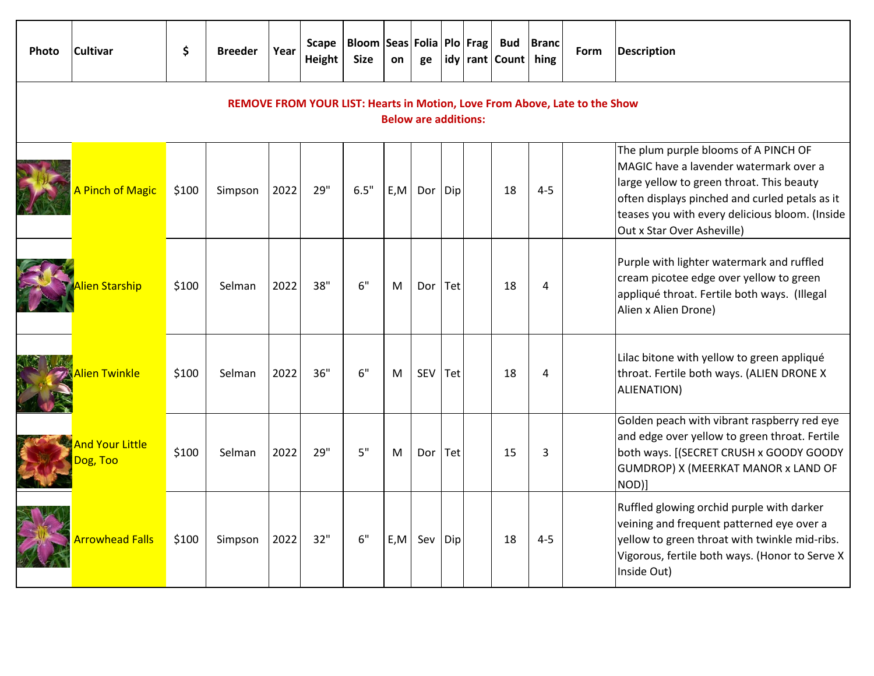| <b>Photo</b> | <b>Cultivar</b>             | \$                                                                         | <b>Breeder</b> | Year | Scape<br>Height | Bloom   Seas   Folia   Plo   Frag  <br><b>Size</b> | on  | ge          |     | <b>Bud</b><br>idy rant Count | <b>Branc</b><br>hing | <b>Form</b> | <b>Description</b>                                                                                                                                                                                                                                            |
|--------------|-----------------------------|----------------------------------------------------------------------------|----------------|------|-----------------|----------------------------------------------------|-----|-------------|-----|------------------------------|----------------------|-------------|---------------------------------------------------------------------------------------------------------------------------------------------------------------------------------------------------------------------------------------------------------------|
|              |                             | REMOVE FROM YOUR LIST: Hearts in Motion, Love From Above, Late to the Show |                |      |                 |                                                    |     |             |     |                              |                      |             |                                                                                                                                                                                                                                                               |
|              | A Pinch of Magic            | \$100                                                                      | Simpson        | 2022 | 29"             | 6.5"                                               | E,M | Dor         | Dip | 18                           | $4 - 5$              |             | The plum purple blooms of A PINCH OF<br>MAGIC have a lavender watermark over a<br>large yellow to green throat. This beauty<br>often displays pinched and curled petals as it<br>teases you with every delicious bloom. (Inside<br>Out x Star Over Asheville) |
|              | Alien Starship              | \$100                                                                      | Selman         | 2022 | 38"             | 6"                                                 | M   | Dor $ $ Tet |     | 18                           | 4                    |             | Purple with lighter watermark and ruffled<br>cream picotee edge over yellow to green<br>appliqué throat. Fertile both ways. (Illegal<br>Alien x Alien Drone)                                                                                                  |
|              | Alien Twinkle               | \$100                                                                      | Selman         | 2022 | 36"             | 6"                                                 | м   | <b>SEV</b>  | Tet | 18                           | 4                    |             | Lilac bitone with yellow to green appliqué<br>throat. Fertile both ways. (ALIEN DRONE X<br>ALIENATION)                                                                                                                                                        |
|              | And Your Little<br>Dog, Too | \$100                                                                      | Selman         | 2022 | 29"             | 5"                                                 | M   | Dor $ $ Tet |     | 15                           | 3                    |             | Golden peach with vibrant raspberry red eye<br>and edge over yellow to green throat. Fertile<br>both ways. [(SECRET CRUSH x GOODY GOODY<br>GUMDROP) X (MEERKAT MANOR x LAND OF<br>NOD)]                                                                       |
|              | <b>Arrowhead Falls</b>      | \$100                                                                      | Simpson        | 2022 | 32"             | 6"                                                 | E.M | Sev         | Dip | 18                           | $4 - 5$              |             | Ruffled glowing orchid purple with darker<br>veining and frequent patterned eye over a<br>yellow to green throat with twinkle mid-ribs.<br>Vigorous, fertile both ways. (Honor to Serve X<br>Inside Out)                                                      |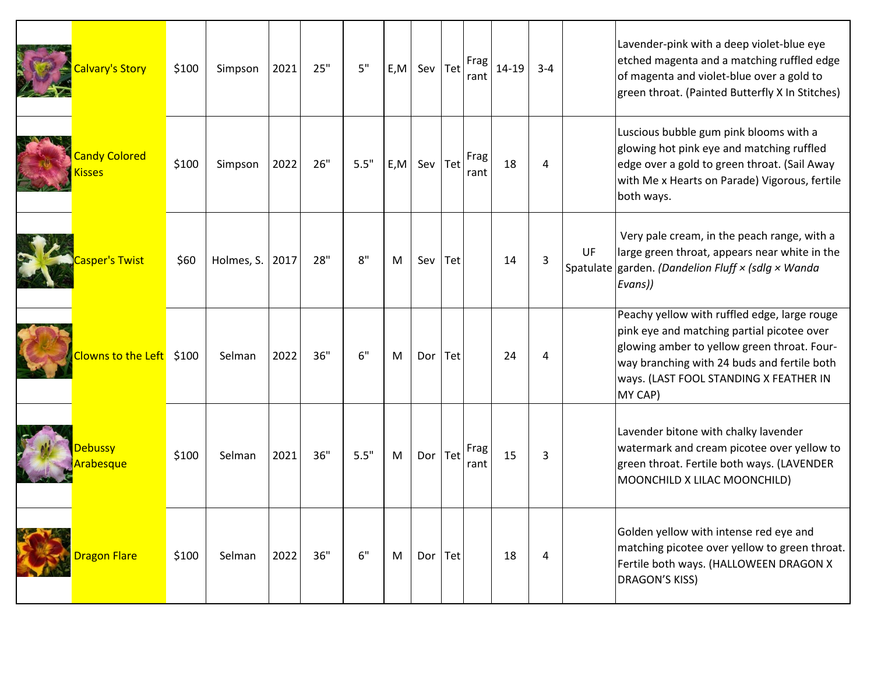| <b>Calvary's Story</b>                | \$100 | Simpson         | 2021 | 25" | 5"   | E, M | Sev         | Tet | Frag<br>rant | $14 - 19$ | $3 - 4$ |           | Lavender-pink with a deep violet-blue eye<br>etched magenta and a matching ruffled edge<br>of magenta and violet-blue over a gold to<br>green throat. (Painted Butterfly X In Stitches)                                                       |
|---------------------------------------|-------|-----------------|------|-----|------|------|-------------|-----|--------------|-----------|---------|-----------|-----------------------------------------------------------------------------------------------------------------------------------------------------------------------------------------------------------------------------------------------|
| <b>Candy Colored</b><br><b>Kisses</b> | \$100 | Simpson         | 2022 | 26" | 5.5" | E, M | Sev         | Tet | Frag<br>rant | 18        | 4       |           | Luscious bubble gum pink blooms with a<br>glowing hot pink eye and matching ruffled<br>edge over a gold to green throat. (Sail Away<br>with Me x Hearts on Parade) Vigorous, fertile<br>both ways.                                            |
| Casper's Twist                        | \$60  | Holmes, S. 2017 |      | 28" | 8"   | M    | Sev         | Tet |              | 14        | 3       | <b>UF</b> | Very pale cream, in the peach range, with a<br>large green throat, appears near white in the<br>Spatulate garden. (Dandelion Fluff $\times$ (sdlg $\times$ Wanda<br>Evans))                                                                   |
| Clowns to the Left \$100              |       | Selman          | 2022 | 36" | 6"   | M    | Dor         | Tet |              | 24        | 4       |           | Peachy yellow with ruffled edge, large rouge<br>pink eye and matching partial picotee over<br>glowing amber to yellow green throat. Four-<br>way branching with 24 buds and fertile both<br>ways. (LAST FOOL STANDING X FEATHER IN<br>MY CAP) |
| Debussy<br><b>Arabesque</b>           | \$100 | Selman          | 2021 | 36" | 5.5" | M    | Dor $ $ Tet |     | Frag<br>rant | 15        | 3       |           | Lavender bitone with chalky lavender<br>watermark and cream picotee over yellow to<br>green throat. Fertile both ways. (LAVENDER<br>MOONCHILD X LILAC MOONCHILD)                                                                              |
| <b>Dragon Flare</b>                   | \$100 | Selman          | 2022 | 36" | 6"   | M    | Dor   Tet   |     |              | 18        | 4       |           | Golden yellow with intense red eye and<br>matching picotee over yellow to green throat.<br>Fertile both ways. (HALLOWEEN DRAGON X<br>DRAGON'S KISS)                                                                                           |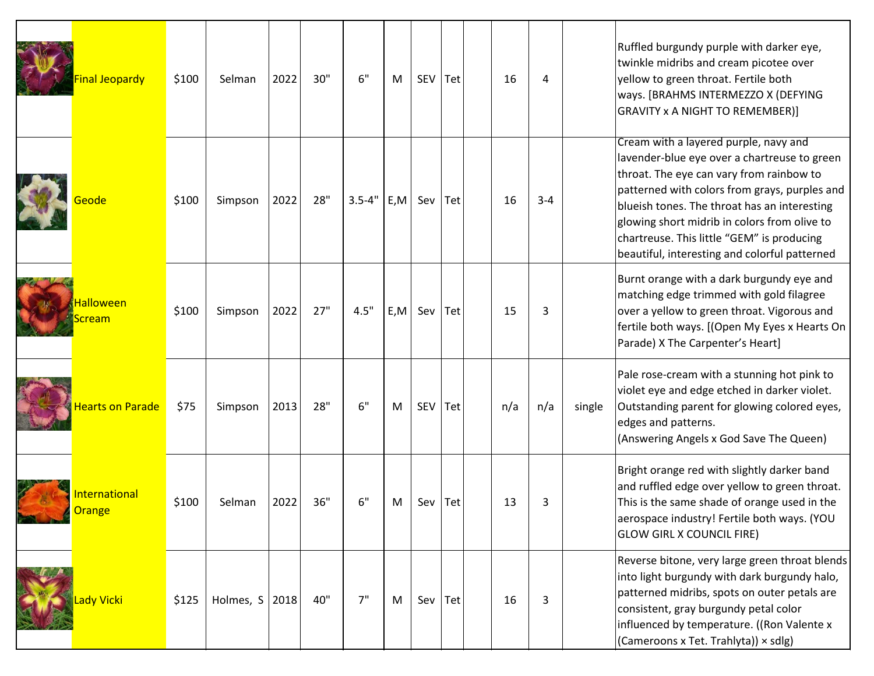| Final Jeopardy                        | \$100 | Selman           | 2022 | 30" | 6"         | M    | SEV         | Tet | 16  | 4       |        | Ruffled burgundy purple with darker eye,<br>twinkle midribs and cream picotee over<br>yellow to green throat. Fertile both<br>ways. [BRAHMS INTERMEZZO X (DEFYING<br><b>GRAVITY x A NIGHT TO REMEMBER)]</b>                                                                                                                                                                       |
|---------------------------------------|-------|------------------|------|-----|------------|------|-------------|-----|-----|---------|--------|-----------------------------------------------------------------------------------------------------------------------------------------------------------------------------------------------------------------------------------------------------------------------------------------------------------------------------------------------------------------------------------|
| Geode                                 | \$100 | Simpson          | 2022 | 28" | $3.5 - 4"$ | E, M | Sev $Te$ t  |     | 16  | $3 - 4$ |        | Cream with a layered purple, navy and<br>lavender-blue eye over a chartreuse to green<br>throat. The eye can vary from rainbow to<br>patterned with colors from grays, purples and<br>blueish tones. The throat has an interesting<br>glowing short midrib in colors from olive to<br>chartreuse. This little "GEM" is producing<br>beautiful, interesting and colorful patterned |
| Halloween<br><u>icream</u>            | \$100 | Simpson          | 2022 | 27" | 4.5"       | E, M | Sev         | Tet | 15  | 3       |        | Burnt orange with a dark burgundy eye and<br>matching edge trimmed with gold filagree<br>over a yellow to green throat. Vigorous and<br>fertile both ways. [(Open My Eyes x Hearts On<br>Parade) X The Carpenter's Heart]                                                                                                                                                         |
| <b>Hearts on Parade</b>               | \$75  | Simpson          | 2013 | 28" | 6"         | M    | SEV         | Tet | n/a | n/a     | single | Pale rose-cream with a stunning hot pink to<br>violet eye and edge etched in darker violet.<br>Outstanding parent for glowing colored eyes,<br>edges and patterns.<br>(Answering Angels x God Save The Queen)                                                                                                                                                                     |
| <b>International</b><br><b>Orange</b> | \$100 | Selman           | 2022 | 36" | 6"         | М    | Sev         | Tet | 13  | 3       |        | Bright orange red with slightly darker band<br>and ruffled edge over yellow to green throat.<br>This is the same shade of orange used in the<br>aerospace industry! Fertile both ways. (YOU<br><b>GLOW GIRL X COUNCIL FIRE)</b>                                                                                                                                                   |
| Lady Vicki                            | \$125 | Holmes, $S$ 2018 |      | 40" | 7"         | M    | Sev $ $ Tet |     | 16  | 3       |        | Reverse bitone, very large green throat blends<br>into light burgundy with dark burgundy halo,<br>patterned midribs, spots on outer petals are<br>consistent, gray burgundy petal color<br>influenced by temperature. ((Ron Valente x<br>(Cameroons x Tet. Trahlyta)) × sdlg)                                                                                                     |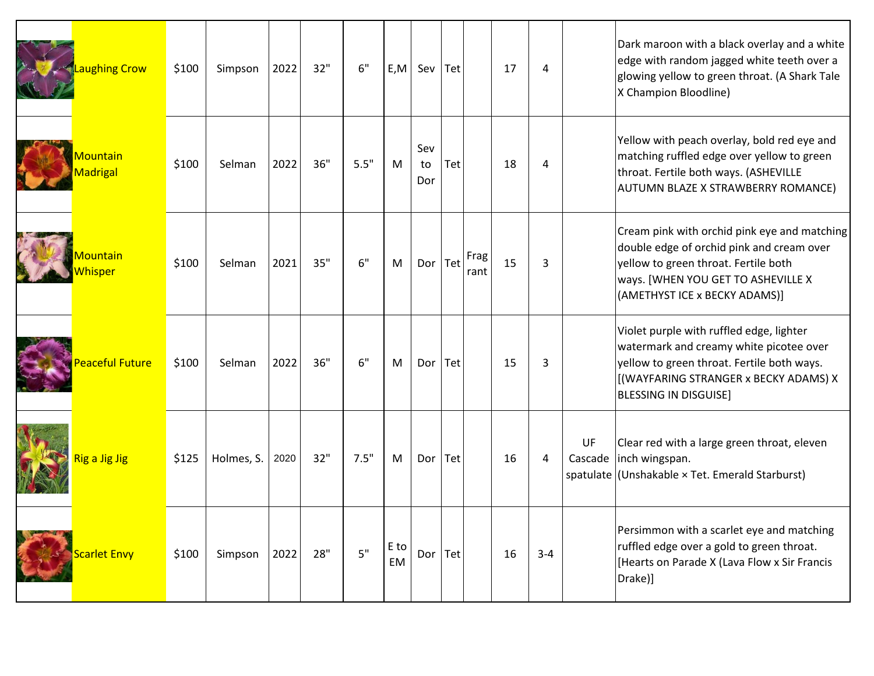| <b>M<mark>Laughing Crow</mark></b>      | \$100 | Simpson    | 2022 | 32" | 6"   | E, M              | Sev              | $ $ Tet |              | 17 | 4       |    | Dark maroon with a black overlay and a white<br>edge with random jagged white teeth over a<br>glowing yellow to green throat. (A Shark Tale<br>X Champion Bloodline)                                       |
|-----------------------------------------|-------|------------|------|-----|------|-------------------|------------------|---------|--------------|----|---------|----|------------------------------------------------------------------------------------------------------------------------------------------------------------------------------------------------------------|
| Mountain<br><b>Madrigal</b>             | \$100 | Selman     | 2022 | 36" | 5.5" | M                 | Sev<br>to<br>Dor | Tet     |              | 18 | 4       |    | Yellow with peach overlay, bold red eye and<br>matching ruffled edge over yellow to green<br>throat. Fertile both ways. (ASHEVILLE<br>AUTUMN BLAZE X STRAWBERRY ROMANCE)                                   |
| <b>Mountain</b><br><mark>/hisper</mark> | \$100 | Selman     | 2021 | 35" | 6"   | M                 | Dor $ $ Tet      |         | Frag<br>rant | 15 | 3       |    | Cream pink with orchid pink eye and matching<br>double edge of orchid pink and cream over<br>yellow to green throat. Fertile both<br>ways. [WHEN YOU GET TO ASHEVILLE X<br>(AMETHYST ICE x BECKY ADAMS)]   |
| Peaceful Future                         | \$100 | Selman     | 2022 | 36" | 6"   | M                 | Dor              | Tet     |              | 15 | 3       |    | Violet purple with ruffled edge, lighter<br>watermark and creamy white picotee over<br>yellow to green throat. Fertile both ways.<br>[(WAYFARING STRANGER x BECKY ADAMS) X<br><b>BLESSING IN DISGUISE]</b> |
| Rig a Jig Jig                           | \$125 | Holmes, S. | 2020 | 32" | 7.5" | M                 | Dor $ $ Tet      |         |              | 16 | 4       | UF | Clear red with a large green throat, eleven<br>Cascade   inch wingspan.<br>spatulate (Unshakable × Tet. Emerald Starburst)                                                                                 |
| <b>Scarlet Envy</b>                     | \$100 | Simpson    | 2022 | 28" | 5"   | E to<br><b>EM</b> | Dor $ $ Tet      |         |              | 16 | $3 - 4$ |    | Persimmon with a scarlet eye and matching<br>ruffled edge over a gold to green throat.<br>[Hearts on Parade X (Lava Flow x Sir Francis<br>Drake)]                                                          |